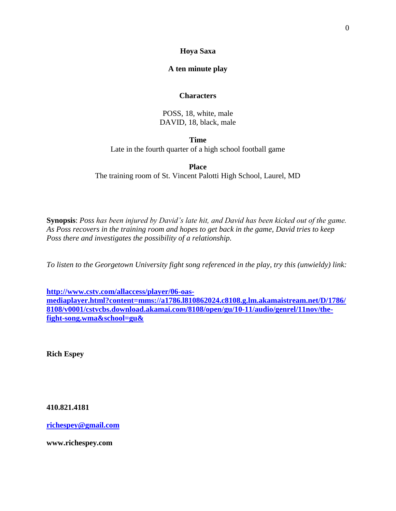# **Hoya Saxa**

# **A ten minute play**

# **Characters**

POSS, 18, white, male DAVID, 18, black, male

**Time** Late in the fourth quarter of a high school football game

**Place**

The training room of St. Vincent Palotti High School, Laurel, MD

**Synopsis**: *Poss has been injured by David's late hit, and David has been kicked out of the game. As Poss recovers in the training room and hopes to get back in the game, David tries to keep Poss there and investigates the possibility of a relationship.*

*To listen to the Georgetown University fight song referenced in the play, try this (unwieldy) link:*

**[http://www.cstv.com/allaccess/player/06-oas](http://www.cstv.com/allaccess/player/06-oas-mediaplayer.html?content=mms://a1786.l810862024.c8108.g.lm.akamaistream.net/D/1786/8108/v0001/cstvcbs.download.akamai.com/8108/open/gu/10-11/audio/genrel/11nov/the-fight-song.wma&school=gu&)[mediaplayer.html?content=mms://a1786.l810862024.c8108.g.lm.akamaistream.net/D/1786/](http://www.cstv.com/allaccess/player/06-oas-mediaplayer.html?content=mms://a1786.l810862024.c8108.g.lm.akamaistream.net/D/1786/8108/v0001/cstvcbs.download.akamai.com/8108/open/gu/10-11/audio/genrel/11nov/the-fight-song.wma&school=gu&) [8108/v0001/cstvcbs.download.akamai.com/8108/open/gu/10-11/audio/genrel/11nov/the](http://www.cstv.com/allaccess/player/06-oas-mediaplayer.html?content=mms://a1786.l810862024.c8108.g.lm.akamaistream.net/D/1786/8108/v0001/cstvcbs.download.akamai.com/8108/open/gu/10-11/audio/genrel/11nov/the-fight-song.wma&school=gu&)[fight-song.wma&school=gu&](http://www.cstv.com/allaccess/player/06-oas-mediaplayer.html?content=mms://a1786.l810862024.c8108.g.lm.akamaistream.net/D/1786/8108/v0001/cstvcbs.download.akamai.com/8108/open/gu/10-11/audio/genrel/11nov/the-fight-song.wma&school=gu&)**

**Rich Espey**

**410.821.4181**

**[richespey@gmail.com](mailto:richespey@gmail.com)**

**www.richespey.com**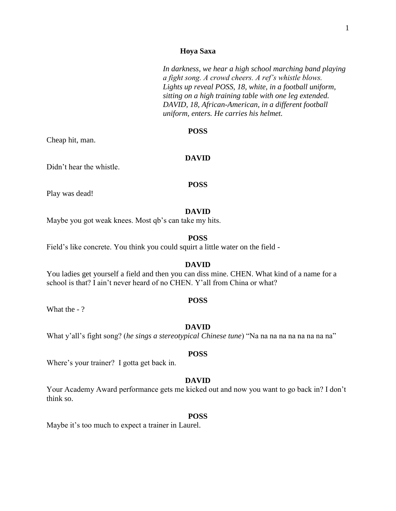*In darkness, we hear a high school marching band playing a fight song. A crowd cheers. A ref's whistle blows. Lights up reveal POSS, 18, white, in a football uniform, sitting on a high training table with one leg extended. DAVID, 18, African-American, in a different football uniform, enters. He carries his helmet.*

#### **POSS**

Cheap hit, man.

#### **DAVID**

Didn't hear the whistle.

#### **POSS**

Play was dead!

#### **DAVID**

Maybe you got weak knees. Most qb's can take my hits.

# **POSS**

Field's like concrete. You think you could squirt a little water on the field -

# **DAVID**

You ladies get yourself a field and then you can diss mine. CHEN. What kind of a name for a school is that? I ain't never heard of no CHEN. Y'all from China or what?

#### **POSS**

What the - ?

#### **DAVID**

What y'all's fight song? (*he sings a stereotypical Chinese tune*) "Na na na na na na na na na"

#### **POSS**

Where's your trainer? I gotta get back in.

#### **DAVID**

Your Academy Award performance gets me kicked out and now you want to go back in? I don't think so.

#### **POSS**

Maybe it's too much to expect a trainer in Laurel.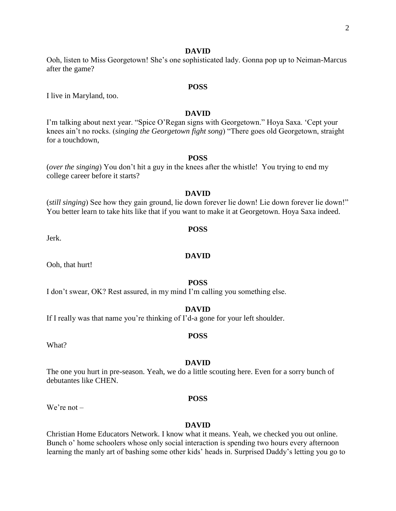#### **DAVID**

Ooh, listen to Miss Georgetown! She's one sophisticated lady. Gonna pop up to Neiman-Marcus after the game?

## **POSS**

I live in Maryland, too.

# **DAVID**

I'm talking about next year. "Spice O'Regan signs with Georgetown." Hoya Saxa. 'Cept your knees ain't no rocks. (*singing the Georgetown fight song*) "There goes old Georgetown, straight for a touchdown,

#### **POSS**

(*over the singing*) You don't hit a guy in the knees after the whistle! You trying to end my college career before it starts?

# **DAVID**

(*still singing*) See how they gain ground, lie down forever lie down! Lie down forever lie down!" You better learn to take hits like that if you want to make it at Georgetown. Hoya Saxa indeed.

**POSS**

Jerk.

#### **DAVID**

Ooh, that hurt!

#### **POSS**

I don't swear, OK? Rest assured, in my mind I'm calling you something else.

# **DAVID**

If I really was that name you're thinking of I'd-a gone for your left shoulder.

#### **POSS**

What?

#### **DAVID**

The one you hurt in pre-season. Yeah, we do a little scouting here. Even for a sorry bunch of debutantes like CHEN.

#### **POSS**

We're not –

#### **DAVID**

Christian Home Educators Network. I know what it means. Yeah, we checked you out online. Bunch o' home schoolers whose only social interaction is spending two hours every afternoon learning the manly art of bashing some other kids' heads in. Surprised Daddy's letting you go to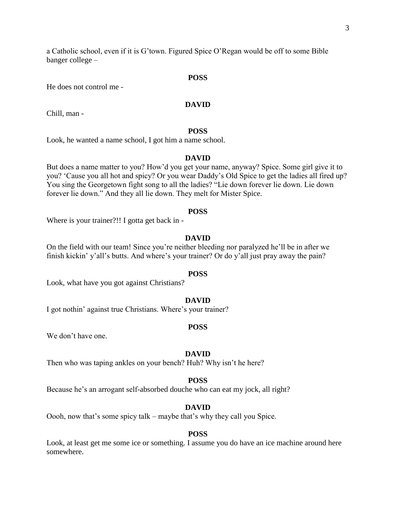a Catholic school, even if it is G'town. Figured Spice O'Regan would be off to some Bible banger college –

# **POSS**

He does not control me -

## **DAVID**

Chill, man -

# **POSS**

Look, he wanted a name school, I got him a name school.

#### **DAVID**

But does a name matter to you? How'd you get your name, anyway? Spice. Some girl give it to you? 'Cause you all hot and spicy? Or you wear Daddy's Old Spice to get the ladies all fired up? You sing the Georgetown fight song to all the ladies? "Lie down forever lie down. Lie down forever lie down." And they all lie down. They melt for Mister Spice.

#### **POSS**

Where is your trainer?!! I gotta get back in -

# **DAVID**

On the field with our team! Since you're neither bleeding nor paralyzed he'll be in after we finish kickin' y'all's butts. And where's your trainer? Or do y'all just pray away the pain?

# **POSS**

Look, what have you got against Christians?

#### **DAVID**

I got nothin' against true Christians. Where's your trainer?

#### **POSS**

We don't have one.

#### **DAVID**

Then who was taping ankles on your bench? Huh? Why isn't he here?

#### **POSS**

Because he's an arrogant self-absorbed douche who can eat my jock, all right?

#### **DAVID**

Oooh, now that's some spicy talk – maybe that's why they call you Spice.

#### **POSS**

Look, at least get me some ice or something. I assume you do have an ice machine around here somewhere.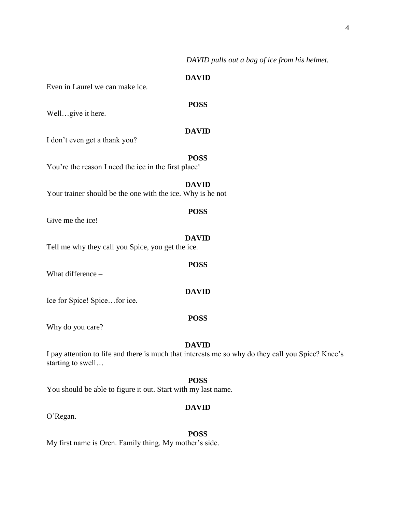*DAVID pulls out a bag of ice from his helmet.*

# **DAVID**

Even in Laurel we can make ice.

**POSS**

Well…give it here.

# **DAVID**

**POSS**

**DAVID**

I don't even get a thank you?

You're the reason I need the ice in the first place!

Your trainer should be the one with the ice. Why is he not –

# **POSS**

Give me the ice!

#### **DAVID**

**POSS**

**DAVID**

Tell me why they call you Spice, you get the ice.

What difference –

Ice for Spice! Spice…for ice.

## **POSS**

Why do you care?

#### **DAVID**

I pay attention to life and there is much that interests me so why do they call you Spice? Knee's starting to swell…

# **POSS**

You should be able to figure it out. Start with my last name.

#### **DAVID**

O'Regan.

#### **POSS**

My first name is Oren. Family thing. My mother's side.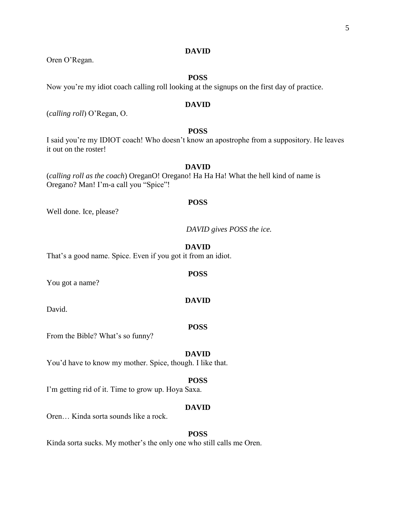# **DAVID**

Oren O'Regan.

# **POSS**

Now you're my idiot coach calling roll looking at the signups on the first day of practice.

#### **DAVID**

(*calling roll*) O'Regan, O.

# **POSS**

I said you're my IDIOT coach! Who doesn't know an apostrophe from a suppository. He leaves it out on the roster!

# **DAVID**

(*calling roll as the coach*) OreganO! Oregano! Ha Ha Ha! What the hell kind of name is Oregano? Man! I'm-a call you "Spice"!

#### **POSS**

Well done. Ice, please?

*DAVID gives POSS the ice.*

#### **DAVID**

**POSS**

That's a good name. Spice. Even if you got it from an idiot.

You got a name?

**DAVID**

David.

#### **POSS**

From the Bible? What's so funny?

#### **DAVID**

You'd have to know my mother. Spice, though. I like that.

#### **POSS**

I'm getting rid of it. Time to grow up. Hoya Saxa.

#### **DAVID**

Oren… Kinda sorta sounds like a rock.

#### **POSS**

Kinda sorta sucks. My mother's the only one who still calls me Oren.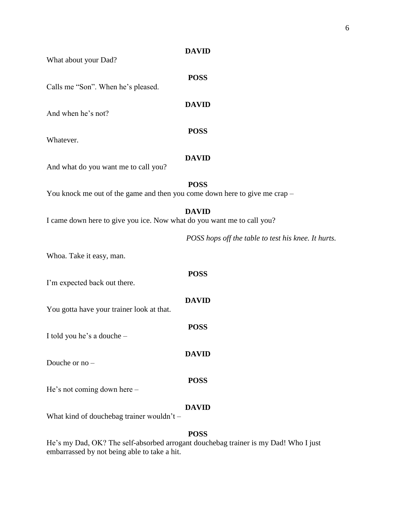*test his knee. It hurts.* 

| What about your Dad?                                                       |                                       |
|----------------------------------------------------------------------------|---------------------------------------|
| Calls me "Son". When he's pleased.                                         | <b>POSS</b>                           |
| And when he's not?                                                         | <b>DAVID</b>                          |
| Whatever.                                                                  | <b>POSS</b>                           |
| And what do you want me to call you?                                       | <b>DAVID</b>                          |
| You knock me out of the game and then you come down here to give me crap - | <b>POSS</b>                           |
| I came down here to give you ice. Now what do you want me to call you?     | <b>DAVID</b>                          |
|                                                                            | POSS hops off the table to test his l |
| Whoa. Take it easy, man.                                                   |                                       |
| I'm expected back out there.                                               | <b>POSS</b>                           |
| You gotta have your trainer look at that.                                  | <b>DAVID</b>                          |
| I told you he's a douche -                                                 | <b>POSS</b>                           |
| Douche or no -                                                             | <b>DAVID</b>                          |
| He's not coming down here –                                                | <b>POSS</b>                           |
|                                                                            | <b>DAVID</b>                          |

**DAVID**

# What kind of douchebag trainer wouldn't -

# **POSS**

He's my Dad, OK? The self-absorbed arrogant douchebag trainer is my Dad! Who I just embarrassed by not being able to take a hit.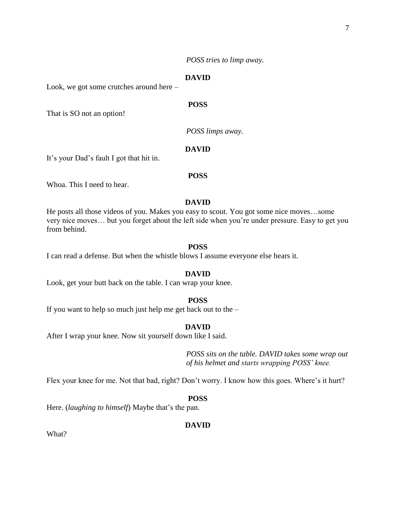*POSS tries to limp away.*

# **DAVID**

Look, we got some crutches around here –

# **POSS**

That is SO not an option!

*POSS limps away.*

# **DAVID**

It's your Dad's fault I got that hit in.

#### **POSS**

Whoa. This I need to hear.

# **DAVID**

He posts all those videos of you. Makes you easy to scout. You got some nice moves…some very nice moves… but you forget about the left side when you're under pressure. Easy to get you from behind.

#### **POSS**

I can read a defense. But when the whistle blows I assume everyone else hears it.

# **DAVID**

Look, get your butt back on the table. I can wrap your knee.

#### **POSS**

If you want to help so much just help me get back out to the –

# **DAVID**

After I wrap your knee. Now sit yourself down like I said.

*POSS sits on the table. DAVID takes some wrap out of his helmet and starts wrapping POSS' knee.*

Flex your knee for me. Not that bad, right? Don't worry. I know how this goes. Where's it hurt?

# **POSS**

Here. (*laughing to himself*) Maybe that's the pan.

# **DAVID**

What?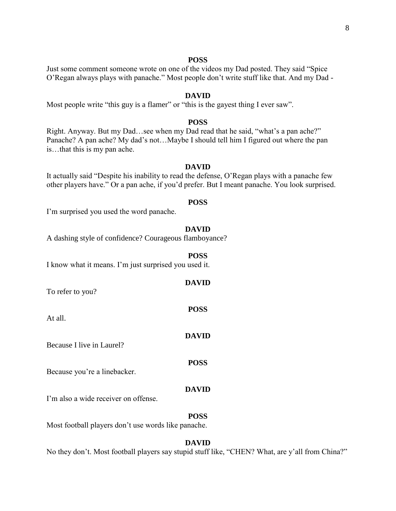#### **POSS**

Just some comment someone wrote on one of the videos my Dad posted. They said "Spice O'Regan always plays with panache." Most people don't write stuff like that. And my Dad -

# **DAVID**

Most people write "this guy is a flamer" or "this is the gayest thing I ever saw".

#### **POSS**

Right. Anyway. But my Dad…see when my Dad read that he said, "what's a pan ache?" Panache? A pan ache? My dad's not…Maybe I should tell him I figured out where the pan is…that this is my pan ache.

# **DAVID**

It actually said "Despite his inability to read the defense, O'Regan plays with a panache few other players have." Or a pan ache, if you'd prefer. But I meant panache. You look surprised.

#### **POSS**

I'm surprised you used the word panache.

#### **DAVID**

A dashing style of confidence? Courageous flamboyance?

#### **POSS**

I know what it means. I'm just surprised you used it.

**DAVID** To refer to you? **POSS** At all. **DAVID** Because I live in Laurel? **POSS** Because you're a linebacker. **DAVID**

I'm also a wide receiver on offense.

**POSS**

Most football players don't use words like panache.

#### **DAVID**

No they don't. Most football players say stupid stuff like, "CHEN? What, are y'all from China?"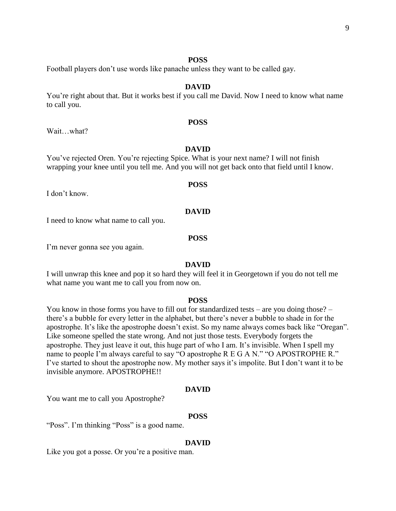#### **POSS**

Football players don't use words like panache unless they want to be called gay.

#### **DAVID**

You're right about that. But it works best if you call me David. Now I need to know what name to call you.

#### **POSS**

Wait…what?

# **DAVID**

You've rejected Oren. You're rejecting Spice. What is your next name? I will not finish wrapping your knee until you tell me. And you will not get back onto that field until I know.

#### **POSS**

I don't know.

#### **DAVID**

I need to know what name to call you.

#### **POSS**

I'm never gonna see you again.

#### **DAVID**

I will unwrap this knee and pop it so hard they will feel it in Georgetown if you do not tell me what name you want me to call you from now on.

#### **POSS**

You know in those forms you have to fill out for standardized tests – are you doing those? – there's a bubble for every letter in the alphabet, but there's never a bubble to shade in for the apostrophe. It's like the apostrophe doesn't exist. So my name always comes back like "Oregan". Like someone spelled the state wrong. And not just those tests. Everybody forgets the apostrophe. They just leave it out, this huge part of who I am. It's invisible. When I spell my name to people I'm always careful to say "O apostrophe R E G A N." "O APOSTROPHE R." I've started to shout the apostrophe now. My mother says it's impolite. But I don't want it to be invisible anymore. APOSTROPHE!!

#### **DAVID**

You want me to call you Apostrophe?

#### **POSS**

"Poss". I'm thinking "Poss" is a good name.

#### **DAVID**

Like you got a posse. Or you're a positive man.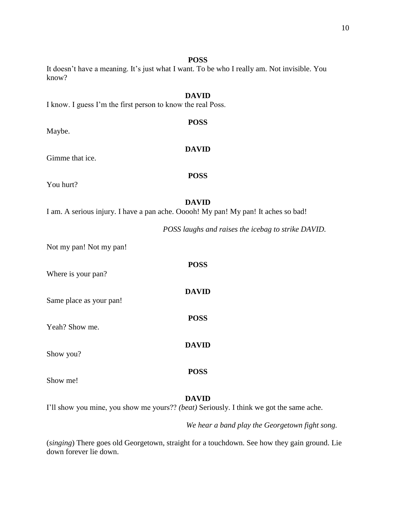#### **POSS**

**POSS**

**DAVID**

# It doesn't have a meaning. It's just what I want. To be who I really am. Not invisible. You know?

# **DAVID** I know. I guess I'm the first person to know the real Poss.

Maybe.

# Gimme that ice.

You hurt?

# **DAVID**

**POSS**

I am. A serious injury. I have a pan ache. Ooooh! My pan! My pan! It aches so bad!

*POSS laughs and raises the icebag to strike DAVID.*

Not my pan! Not my pan!

| Where is your pan?      | <b>POSS</b>  |
|-------------------------|--------------|
| Same place as your pan! | <b>DAVID</b> |
| Yeah? Show me.          | <b>POSS</b>  |
| Show you?               | <b>DAVID</b> |
|                         | POSS         |

Show me!

# **DAVID**

I'll show you mine, you show me yours?? *(beat)* Seriously. I think we got the same ache.

*We hear a band play the Georgetown fight song.*

(*singing*) There goes old Georgetown, straight for a touchdown. See how they gain ground. Lie down forever lie down.